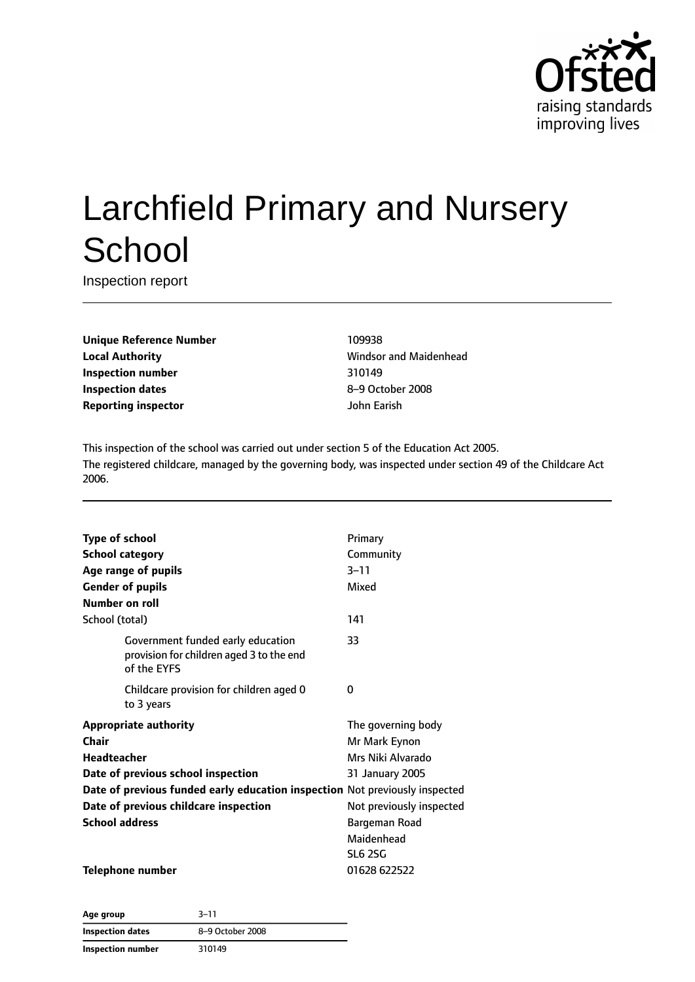

# Larchfield Primary and Nursery **School**

Inspection report

**Unique Reference Number** 109938 **Local Authority Constanting Manual Authority Windsor and Maidenhead Inspection number** 310149 **Inspection dates** 8–9 October 2008 **Reporting inspector** John Earish

This inspection of the school was carried out under section 5 of the Education Act 2005. The registered childcare, managed by the governing body, was inspected under section 49 of the Childcare Act 2006.

| <b>Type of school</b>                                                                        | Primary                  |
|----------------------------------------------------------------------------------------------|--------------------------|
| <b>School category</b>                                                                       | Community                |
| Age range of pupils                                                                          | $3 - 11$                 |
| <b>Gender of pupils</b>                                                                      | Mixed                    |
| Number on roll                                                                               |                          |
| School (total)                                                                               | 141                      |
| Government funded early education<br>provision for children aged 3 to the end<br>of the EYFS | 33                       |
| Childcare provision for children aged 0<br>to 3 years                                        | 0                        |
| <b>Appropriate authority</b>                                                                 | The governing body       |
| Chair                                                                                        | Mr Mark Eynon            |
| <b>Headteacher</b>                                                                           | Mrs Niki Alvarado        |
| Date of previous school inspection                                                           | 31 January 2005          |
| Date of previous funded early education inspection Not previously inspected                  |                          |
| Date of previous childcare inspection                                                        | Not previously inspected |
| <b>School address</b>                                                                        | Bargeman Road            |
|                                                                                              | Maidenhead               |
|                                                                                              | <b>SL6 2SG</b>           |
| Telephone number                                                                             | 01628 622522             |

**Age group** 3–11 **Inspection dates** 8–9 October 2008 **Inspection number** 310149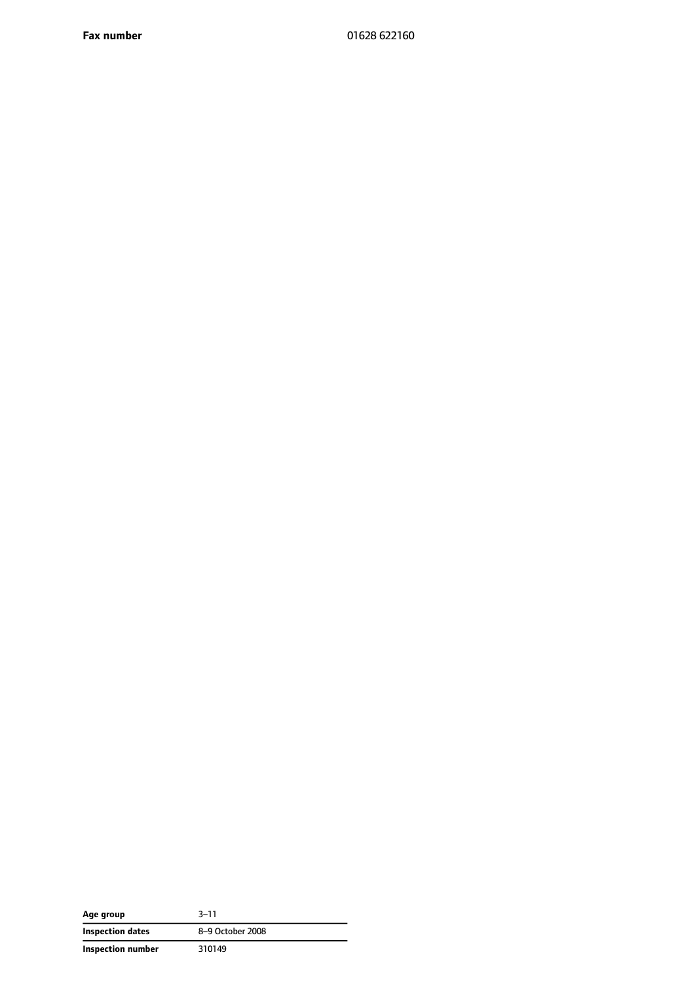**Fax number** 01628 622160

| Age group         | $3 - 11$         |
|-------------------|------------------|
| Inspection dates  | 8-9 October 2008 |
| Inspection number | 310149           |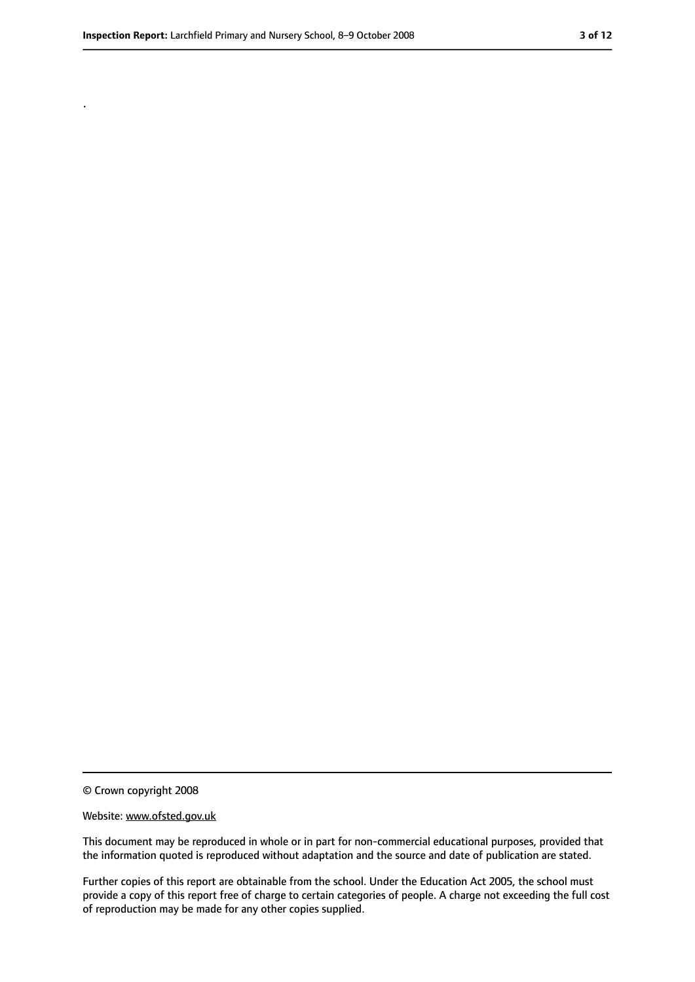.

<sup>©</sup> Crown copyright 2008

Website: www.ofsted.gov.uk

This document may be reproduced in whole or in part for non-commercial educational purposes, provided that the information quoted is reproduced without adaptation and the source and date of publication are stated.

Further copies of this report are obtainable from the school. Under the Education Act 2005, the school must provide a copy of this report free of charge to certain categories of people. A charge not exceeding the full cost of reproduction may be made for any other copies supplied.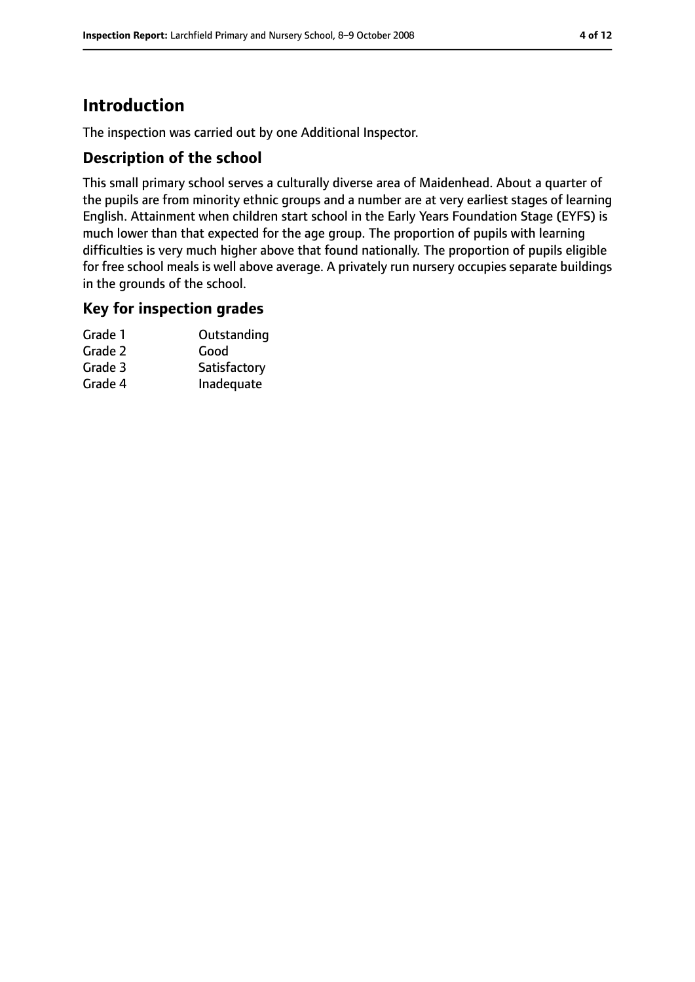# **Introduction**

The inspection was carried out by one Additional Inspector.

## **Description of the school**

This small primary school serves a culturally diverse area of Maidenhead. About a quarter of the pupils are from minority ethnic groups and a number are at very earliest stages of learning English. Attainment when children start school in the Early Years Foundation Stage (EYFS) is much lower than that expected for the age group. The proportion of pupils with learning difficulties is very much higher above that found nationally. The proportion of pupils eligible for free school meals is well above average. A privately run nursery occupies separate buildings in the grounds of the school.

## **Key for inspection grades**

| Grade 1 | Outstanding  |
|---------|--------------|
| Grade 2 | Good         |
| Grade 3 | Satisfactory |
| Grade 4 | Inadequate   |
|         |              |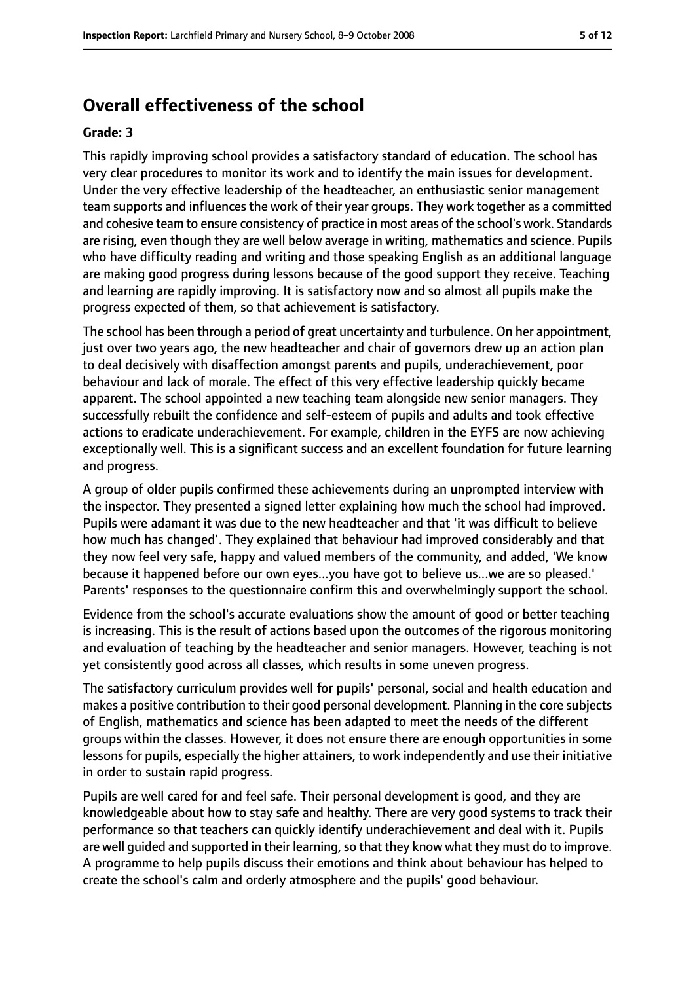# **Overall effectiveness of the school**

#### **Grade: 3**

This rapidly improving school provides a satisfactory standard of education. The school has very clear procedures to monitor its work and to identify the main issues for development. Under the very effective leadership of the headteacher, an enthusiastic senior management team supports and influences the work of their year groups. They work together as a committed and cohesive team to ensure consistency of practice in most areas of the school's work. Standards are rising, even though they are well below average in writing, mathematics and science. Pupils who have difficulty reading and writing and those speaking English as an additional language are making good progress during lessons because of the good support they receive. Teaching and learning are rapidly improving. It is satisfactory now and so almost all pupils make the progress expected of them, so that achievement is satisfactory.

The school has been through a period of great uncertainty and turbulence. On her appointment, just over two years ago, the new headteacher and chair of governors drew up an action plan to deal decisively with disaffection amongst parents and pupils, underachievement, poor behaviour and lack of morale. The effect of this very effective leadership quickly became apparent. The school appointed a new teaching team alongside new senior managers. They successfully rebuilt the confidence and self-esteem of pupils and adults and took effective actions to eradicate underachievement. For example, children in the EYFS are now achieving exceptionally well. This is a significant success and an excellent foundation for future learning and progress.

A group of older pupils confirmed these achievements during an unprompted interview with the inspector. They presented a signed letter explaining how much the school had improved. Pupils were adamant it was due to the new headteacher and that 'it was difficult to believe how much has changed'. They explained that behaviour had improved considerably and that they now feel very safe, happy and valued members of the community, and added, 'We know because it happened before our own eyes...you have got to believe us...we are so pleased.' Parents' responses to the questionnaire confirm this and overwhelmingly support the school.

Evidence from the school's accurate evaluations show the amount of good or better teaching is increasing. This is the result of actions based upon the outcomes of the rigorous monitoring and evaluation of teaching by the headteacher and senior managers. However, teaching is not yet consistently good across all classes, which results in some uneven progress.

The satisfactory curriculum provides well for pupils' personal, social and health education and makes a positive contribution to their good personal development. Planning in the core subjects of English, mathematics and science has been adapted to meet the needs of the different groups within the classes. However, it does not ensure there are enough opportunities in some lessonsfor pupils, especially the higher attainers, to work independently and use their initiative in order to sustain rapid progress.

Pupils are well cared for and feel safe. Their personal development is good, and they are knowledgeable about how to stay safe and healthy. There are very good systems to track their performance so that teachers can quickly identify underachievement and deal with it. Pupils are well guided and supported in their learning, so that they know what they must do to improve. A programme to help pupils discuss their emotions and think about behaviour has helped to create the school's calm and orderly atmosphere and the pupils' good behaviour.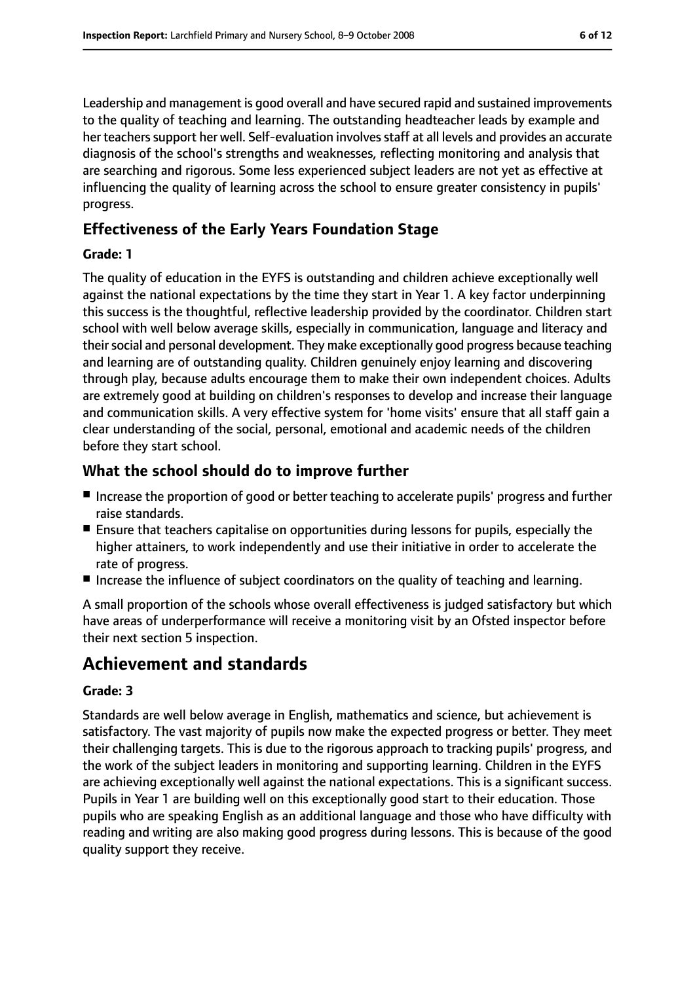Leadership and management is good overall and have secured rapid and sustained improvements to the quality of teaching and learning. The outstanding headteacher leads by example and her teachers support her well. Self-evaluation involves staff at all levels and provides an accurate diagnosis of the school's strengths and weaknesses, reflecting monitoring and analysis that are searching and rigorous. Some less experienced subject leaders are not yet as effective at influencing the quality of learning across the school to ensure greater consistency in pupils' progress.

# **Effectiveness of the Early Years Foundation Stage**

#### **Grade: 1**

The quality of education in the EYFS is outstanding and children achieve exceptionally well against the national expectations by the time they start in Year 1. A key factor underpinning this success is the thoughtful, reflective leadership provided by the coordinator. Children start school with well below average skills, especially in communication, language and literacy and their social and personal development. They make exceptionally good progress because teaching and learning are of outstanding quality. Children genuinely enjoy learning and discovering through play, because adults encourage them to make their own independent choices. Adults are extremely good at building on children's responses to develop and increase their language and communication skills. A very effective system for 'home visits' ensure that all staff gain a clear understanding of the social, personal, emotional and academic needs of the children before they start school.

# **What the school should do to improve further**

- Increase the proportion of good or better teaching to accelerate pupils' progress and further raise standards.
- Ensure that teachers capitalise on opportunities during lessons for pupils, especially the higher attainers, to work independently and use their initiative in order to accelerate the rate of progress.
- Increase the influence of subject coordinators on the quality of teaching and learning.

A small proportion of the schools whose overall effectiveness is judged satisfactory but which have areas of underperformance will receive a monitoring visit by an Ofsted inspector before their next section 5 inspection.

# **Achievement and standards**

#### **Grade: 3**

Standards are well below average in English, mathematics and science, but achievement is satisfactory. The vast majority of pupils now make the expected progress or better. They meet their challenging targets. This is due to the rigorous approach to tracking pupils' progress, and the work of the subject leaders in monitoring and supporting learning. Children in the EYFS are achieving exceptionally well against the national expectations. This is a significant success. Pupils in Year 1 are building well on this exceptionally good start to their education. Those pupils who are speaking English as an additional language and those who have difficulty with reading and writing are also making good progress during lessons. This is because of the good quality support they receive.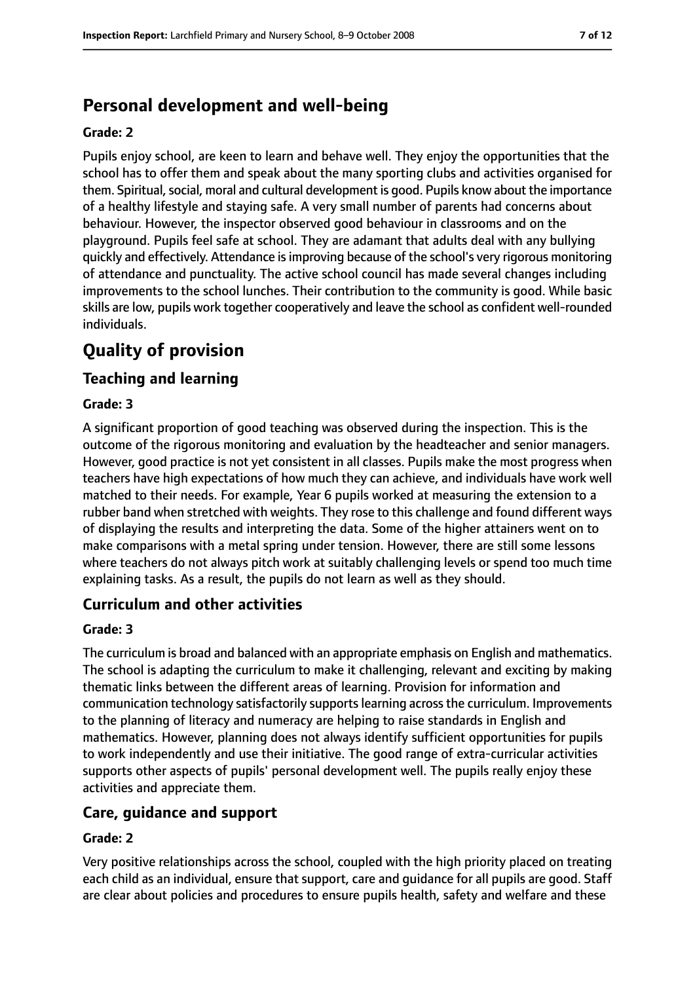# **Personal development and well-being**

#### **Grade: 2**

Pupils enjoy school, are keen to learn and behave well. They enjoy the opportunities that the school has to offer them and speak about the many sporting clubs and activities organised for them. Spiritual, social, moral and cultural development is good. Pupils know about the importance of a healthy lifestyle and staying safe. A very small number of parents had concerns about behaviour. However, the inspector observed good behaviour in classrooms and on the playground. Pupils feel safe at school. They are adamant that adults deal with any bullying quickly and effectively. Attendance isimproving because of the school's very rigorous monitoring of attendance and punctuality. The active school council has made several changes including improvements to the school lunches. Their contribution to the community is good. While basic skills are low, pupils work together cooperatively and leave the school as confident well-rounded individuals.

# **Quality of provision**

## **Teaching and learning**

#### **Grade: 3**

A significant proportion of good teaching was observed during the inspection. This is the outcome of the rigorous monitoring and evaluation by the headteacher and senior managers. However, good practice is not yet consistent in all classes. Pupils make the most progress when teachers have high expectations of how much they can achieve, and individuals have work well matched to their needs. For example, Year 6 pupils worked at measuring the extension to a rubber band when stretched with weights. They rose to this challenge and found different ways of displaying the results and interpreting the data. Some of the higher attainers went on to make comparisons with a metal spring under tension. However, there are still some lessons where teachers do not always pitch work at suitably challenging levels or spend too much time explaining tasks. As a result, the pupils do not learn as well as they should.

## **Curriculum and other activities**

#### **Grade: 3**

The curriculum is broad and balanced with an appropriate emphasis on English and mathematics. The school is adapting the curriculum to make it challenging, relevant and exciting by making thematic links between the different areas of learning. Provision for information and communication technology satisfactorily supports learning across the curriculum. Improvements to the planning of literacy and numeracy are helping to raise standards in English and mathematics. However, planning does not always identify sufficient opportunities for pupils to work independently and use their initiative. The good range of extra-curricular activities supports other aspects of pupils' personal development well. The pupils really enjoy these activities and appreciate them.

## **Care, guidance and support**

#### **Grade: 2**

Very positive relationships across the school, coupled with the high priority placed on treating each child as an individual, ensure that support, care and guidance for all pupils are good. Staff are clear about policies and procedures to ensure pupils health, safety and welfare and these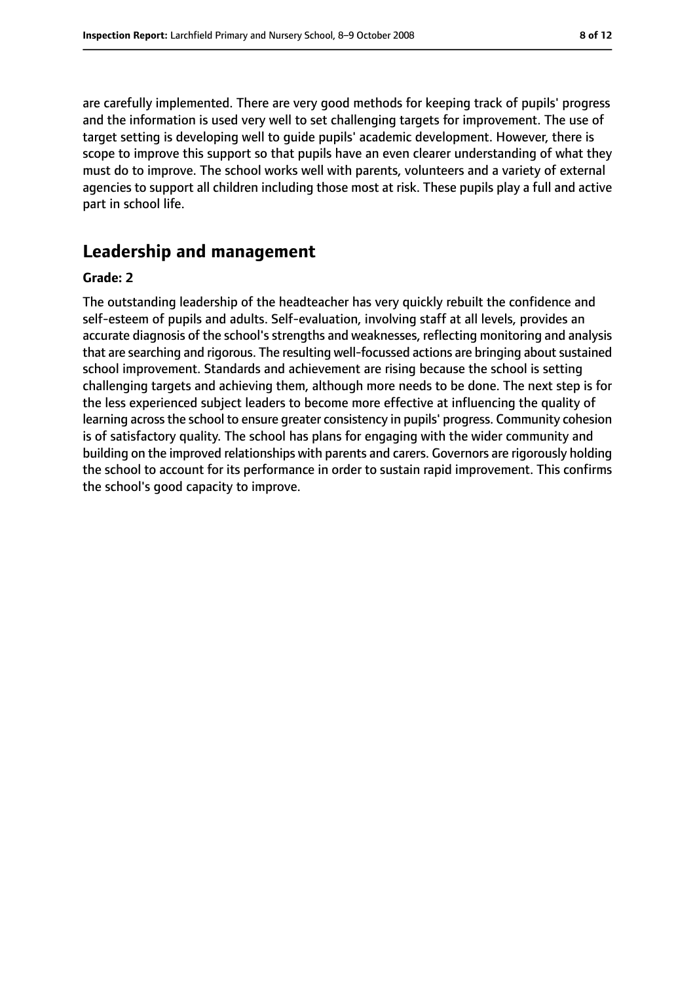are carefully implemented. There are very good methods for keeping track of pupils' progress and the information is used very well to set challenging targets for improvement. The use of target setting is developing well to guide pupils' academic development. However, there is scope to improve this support so that pupils have an even clearer understanding of what they must do to improve. The school works well with parents, volunteers and a variety of external agencies to support all children including those most at risk. These pupils play a full and active part in school life.

# **Leadership and management**

#### **Grade: 2**

The outstanding leadership of the headteacher has very quickly rebuilt the confidence and self-esteem of pupils and adults. Self-evaluation, involving staff at all levels, provides an accurate diagnosis of the school's strengths and weaknesses, reflecting monitoring and analysis that are searching and rigorous. The resulting well-focussed actions are bringing aboutsustained school improvement. Standards and achievement are rising because the school is setting challenging targets and achieving them, although more needs to be done. The next step is for the less experienced subject leaders to become more effective at influencing the quality of learning across the school to ensure greater consistency in pupils' progress. Community cohesion is of satisfactory quality. The school has plans for engaging with the wider community and building on the improved relationships with parents and carers. Governors are rigorously holding the school to account for its performance in order to sustain rapid improvement. This confirms the school's good capacity to improve.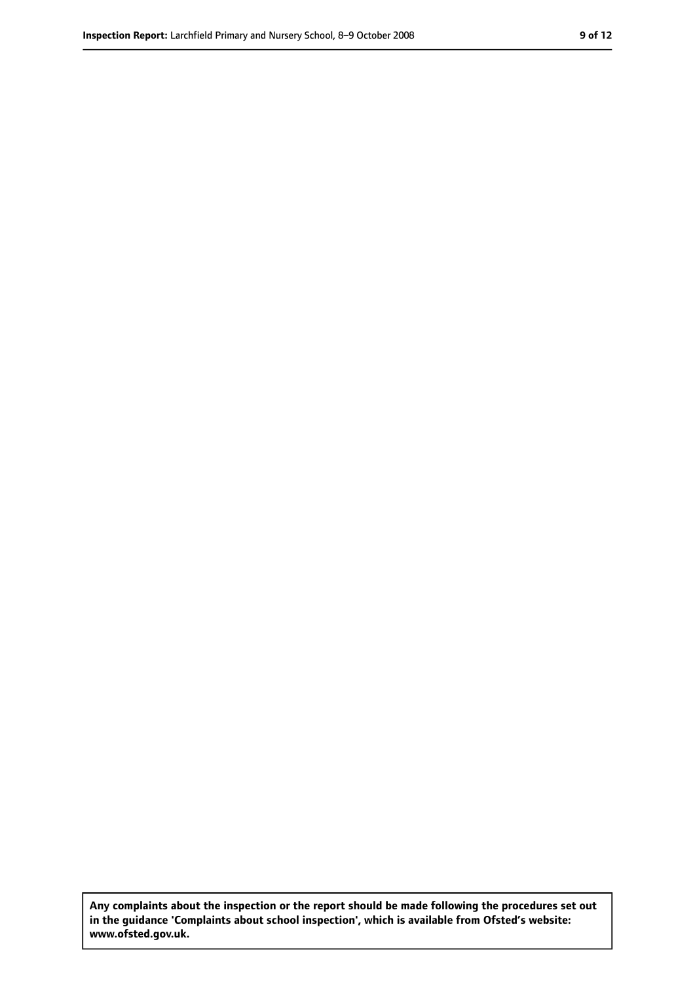**Any complaints about the inspection or the report should be made following the procedures set out in the guidance 'Complaints about school inspection', which is available from Ofsted's website: www.ofsted.gov.uk.**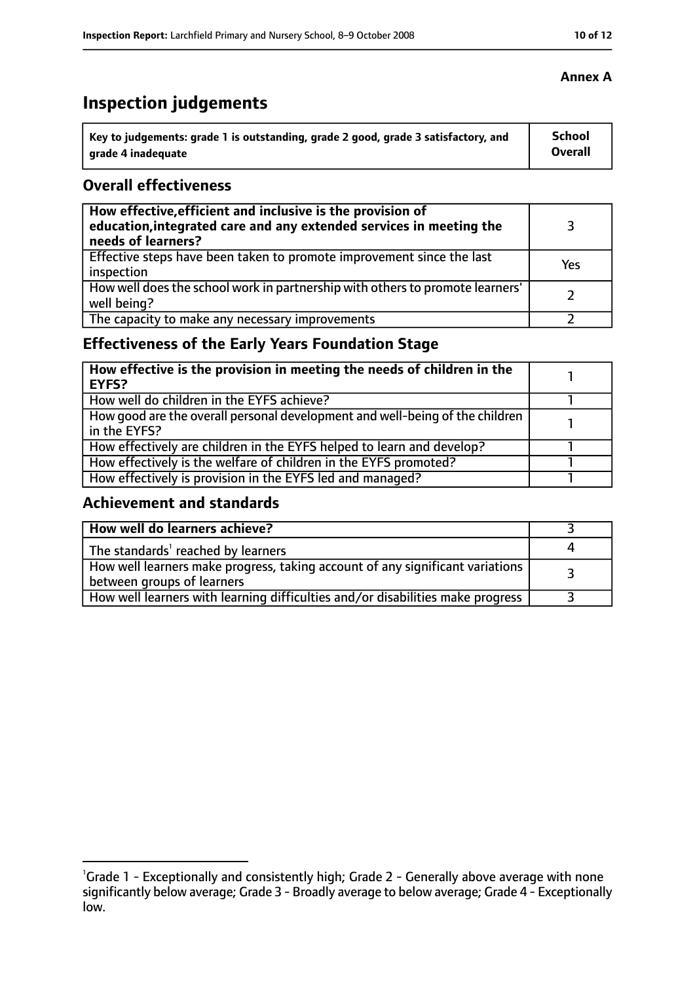# **Inspection judgements**

| Key to judgements: grade 1 is outstanding, grade 2 good, grade 3 satisfactory, and | <b>School</b> |
|------------------------------------------------------------------------------------|---------------|
| arade 4 inadequate                                                                 | Overall       |

## **Overall effectiveness**

| How effective, efficient and inclusive is the provision of<br>education, integrated care and any extended services in meeting the<br>needs of learners? |     |
|---------------------------------------------------------------------------------------------------------------------------------------------------------|-----|
| Effective steps have been taken to promote improvement since the last<br>inspection                                                                     | Yes |
| How well does the school work in partnership with others to promote learners'<br>well being?                                                            |     |
| The capacity to make any necessary improvements                                                                                                         |     |

# **Effectiveness of the Early Years Foundation Stage**

| How effective is the provision in meeting the needs of children in the<br>l EYFS?            |  |
|----------------------------------------------------------------------------------------------|--|
| How well do children in the EYFS achieve?                                                    |  |
| How good are the overall personal development and well-being of the children<br>in the EYFS? |  |
| How effectively are children in the EYFS helped to learn and develop?                        |  |
| How effectively is the welfare of children in the EYFS promoted?                             |  |
| How effectively is provision in the EYFS led and managed?                                    |  |

# **Achievement and standards**

| How well do learners achieve?                                                                               |  |
|-------------------------------------------------------------------------------------------------------------|--|
| The standards <sup>1</sup> reached by learners                                                              |  |
| How well learners make progress, taking account of any significant variations<br>between groups of learners |  |
| How well learners with learning difficulties and/or disabilities make progress                              |  |

<sup>&</sup>lt;sup>1</sup>Grade 1 - Exceptionally and consistently high; Grade 2 - Generally above average with none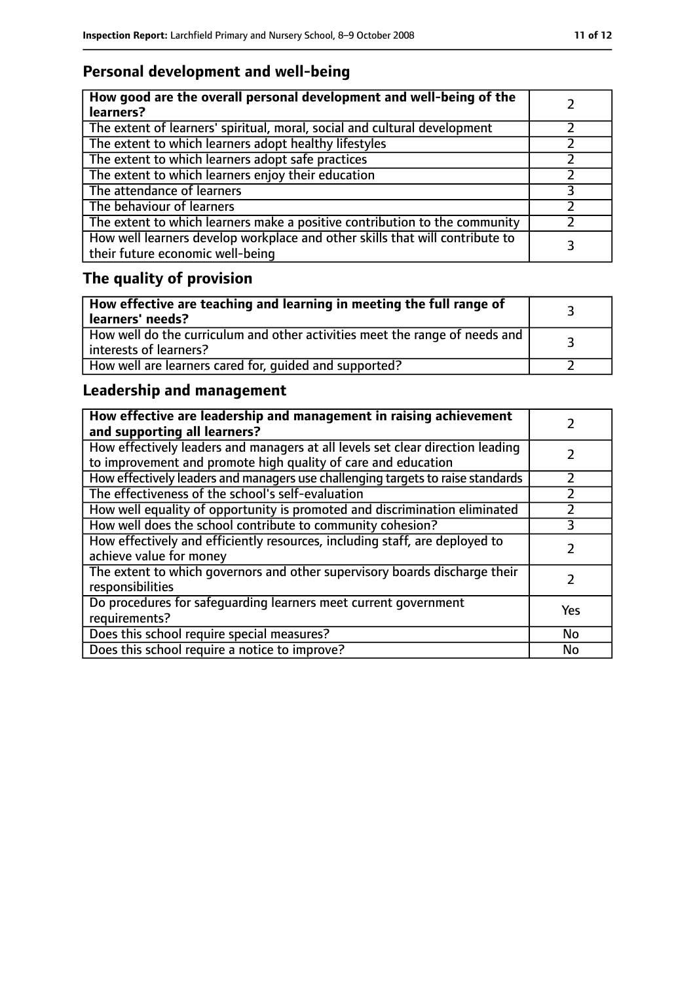# **Personal development and well-being**

| How good are the overall personal development and well-being of the<br>learners?                                 |  |
|------------------------------------------------------------------------------------------------------------------|--|
| The extent of learners' spiritual, moral, social and cultural development                                        |  |
| The extent to which learners adopt healthy lifestyles                                                            |  |
| The extent to which learners adopt safe practices                                                                |  |
| The extent to which learners enjoy their education                                                               |  |
| The attendance of learners                                                                                       |  |
| The behaviour of learners                                                                                        |  |
| The extent to which learners make a positive contribution to the community                                       |  |
| How well learners develop workplace and other skills that will contribute to<br>their future economic well-being |  |

# **The quality of provision**

| How effective are teaching and learning in meeting the full range of<br>learners' needs?              |  |
|-------------------------------------------------------------------------------------------------------|--|
| How well do the curriculum and other activities meet the range of needs and<br>interests of learners? |  |
| How well are learners cared for, quided and supported?                                                |  |

# **Leadership and management**

| How effective are leadership and management in raising achievement<br>and supporting all learners?                                              |     |
|-------------------------------------------------------------------------------------------------------------------------------------------------|-----|
| How effectively leaders and managers at all levels set clear direction leading<br>to improvement and promote high quality of care and education |     |
| How effectively leaders and managers use challenging targets to raise standards                                                                 |     |
| The effectiveness of the school's self-evaluation                                                                                               |     |
| How well equality of opportunity is promoted and discrimination eliminated                                                                      |     |
| How well does the school contribute to community cohesion?                                                                                      | 3   |
| How effectively and efficiently resources, including staff, are deployed to<br>achieve value for money                                          |     |
| The extent to which governors and other supervisory boards discharge their<br>responsibilities                                                  |     |
| Do procedures for safequarding learners meet current government<br>requirements?                                                                | Yes |
| Does this school require special measures?                                                                                                      | No  |
| Does this school require a notice to improve?                                                                                                   | No  |